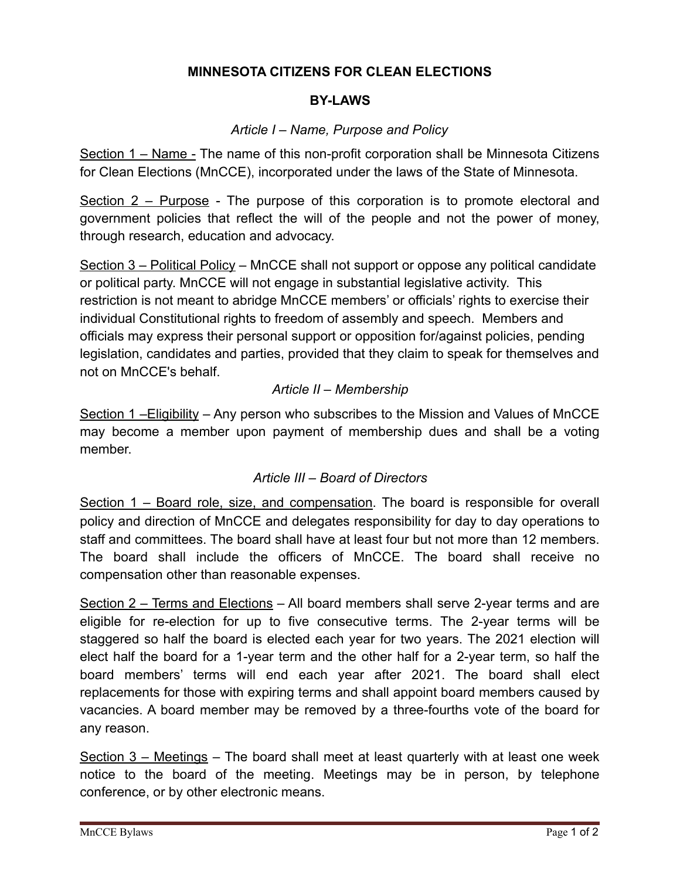# **MINNESOTA CITIZENS FOR CLEAN ELECTIONS**

### **BY-LAWS**

#### *Article I – Name, Purpose and Policy*

Section 1 – Name - The name of this non-profit corporation shall be Minnesota Citizens for Clean Elections (MnCCE), incorporated under the laws of the State of Minnesota.

Section 2 – Purpose - The purpose of this corporation is to promote electoral and government policies that reflect the will of the people and not the power of money, through research, education and advocacy.

Section 3 – Political Policy – MnCCE shall not support or oppose any political candidate or political party. MnCCE will not engage in substantial legislative activity. This restriction is not meant to abridge MnCCE members' or officials' rights to exercise their individual Constitutional rights to freedom of assembly and speech. Members and officials may express their personal support or opposition for/against policies, pending legislation, candidates and parties, provided that they claim to speak for themselves and not on MnCCE's behalf.

### *Article II – Membership*

Section 1 –Eligibility – Any person who subscribes to the Mission and Values of MnCCE may become a member upon payment of membership dues and shall be a voting member.

#### *Article III – Board of Directors*

Section 1 – Board role, size, and compensation. The board is responsible for overall policy and direction of MnCCE and delegates responsibility for day to day operations to staff and committees. The board shall have at least four but not more than 12 members. The board shall include the officers of MnCCE. The board shall receive no compensation other than reasonable expenses.

Section 2 – Terms and Elections – All board members shall serve 2-year terms and are eligible for re-election for up to five consecutive terms. The 2-year terms will be staggered so half the board is elected each year for two years. The 2021 election will elect half the board for a 1-year term and the other half for a 2-year term, so half the board members' terms will end each year after 2021. The board shall elect replacements for those with expiring terms and shall appoint board members caused by vacancies. A board member may be removed by a three-fourths vote of the board for any reason.

Section 3 – Meetings – The board shall meet at least quarterly with at least one week notice to the board of the meeting. Meetings may be in person, by telephone conference, or by other electronic means.